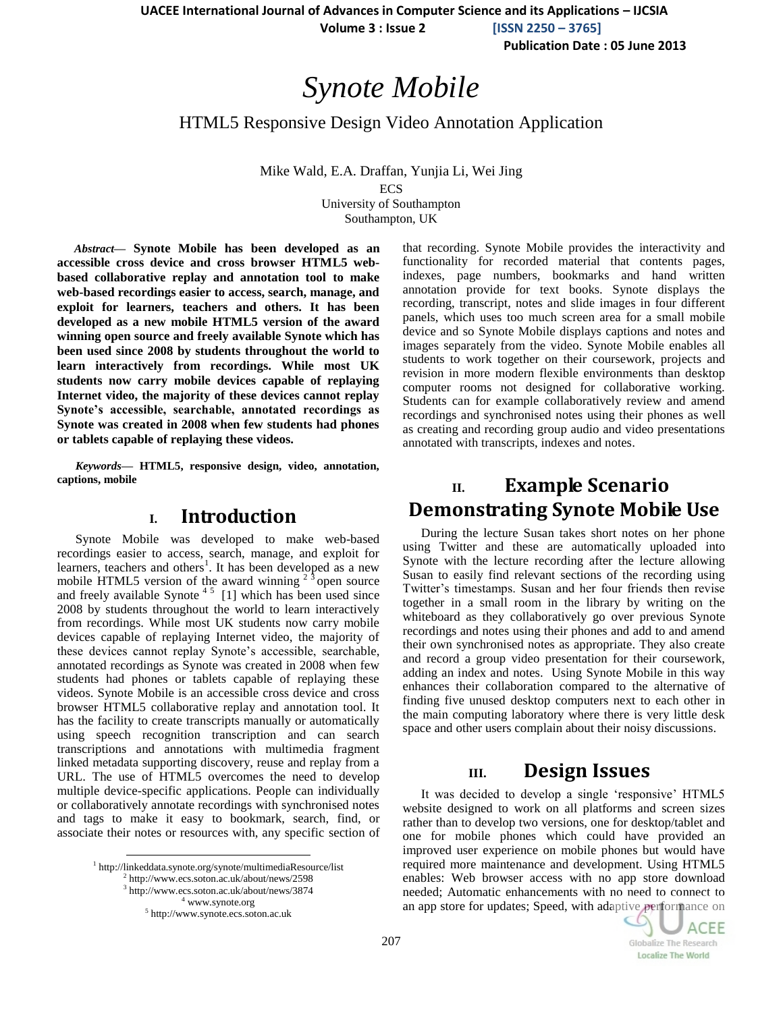**Volume 3 : Issue 2 [ISSN 2250 – 3765]**

**Publication Date : 05 June 2013**

# *Synote Mobile*

HTML5 Responsive Design Video Annotation Application

Mike Wald, E.A. Draffan, Yunjia Li, Wei Jing **ECS** University of Southampton

Southampton, UK

*Abstract***— Synote Mobile has been developed as an accessible cross device and cross browser HTML5 webbased collaborative replay and annotation tool to make web-based recordings easier to access, search, manage, and exploit for learners, teachers and others. It has been developed as a new mobile HTML5 version of the award winning open source and freely available Synote which has been used since 2008 by students throughout the world to learn interactively from recordings. While most UK students now carry mobile devices capable of replaying Internet video, the majority of these devices cannot replay Synote's accessible, searchable, annotated recordings as Synote was created in 2008 when few students had phones or tablets capable of replaying these videos.**

*Keywords—* **HTML5, responsive design, video, annotation, captions, mobile**

#### **I. Introduction**

Synote Mobile was developed to make web-based recordings easier to access, search, manage, and exploit for learners, teachers and others<sup>1</sup>. It has been developed as a new mobile HTML5 version of the award winning  $2<sup>3</sup>$  open source and freely available Synote<sup>45</sup> [1] which has been used since 2008 by students throughout the world to learn interactively from recordings. While most UK students now carry mobile devices capable of replaying Internet video, the majority of these devices cannot replay Synote's accessible, searchable, annotated recordings as Synote was created in 2008 when few students had phones or tablets capable of replaying these videos. Synote Mobile is an accessible cross device and cross browser HTML5 collaborative replay and annotation tool. It has the facility to create transcripts manually or automatically using speech recognition transcription and can search transcriptions and annotations with multimedia fragment linked metadata supporting discovery, reuse and replay from a URL. The use of HTML5 overcomes the need to develop multiple device-specific applications. People can individually or collaboratively annotate recordings with synchronised notes and tags to make it easy to bookmark, search, find, or associate their notes or resources with, any specific section of

> http://linkeddata.synote.org/synote/multimediaResource/list http://www.ecs.soton.ac.uk/about/news/2598 http://www.ecs.soton.ac.uk/about/news/3874 www.synote.org http://www.synote.ecs.soton.ac.uk

l

that recording. Synote Mobile provides the interactivity and functionality for recorded material that contents pages, indexes, page numbers, bookmarks and hand written annotation provide for text books. Synote displays the recording, transcript, notes and slide images in four different panels, which uses too much screen area for a small mobile device and so Synote Mobile displays captions and notes and images separately from the video. Synote Mobile enables all students to work together on their coursework, projects and revision in more modern flexible environments than desktop computer rooms not designed for collaborative working. Students can for example collaboratively review and amend recordings and synchronised notes using their phones as well as creating and recording group audio and video presentations annotated with transcripts, indexes and notes.

# **II. Example Scenario Demonstrating Synote Mobile Use**

During the lecture Susan takes short notes on her phone using Twitter and these are automatically uploaded into Synote with the lecture recording after the lecture allowing Susan to easily find relevant sections of the recording using Twitter's timestamps. Susan and her four friends then revise together in a small room in the library by writing on the whiteboard as they collaboratively go over previous Synote recordings and notes using their phones and add to and amend their own synchronised notes as appropriate. They also create and record a group video presentation for their coursework, adding an index and notes. Using Synote Mobile in this way enhances their collaboration compared to the alternative of finding five unused desktop computers next to each other in the main computing laboratory where there is very little desk space and other users complain about their noisy discussions.

# **III. Design Issues**

It was decided to develop a single "responsive" HTML5 website designed to work on all platforms and screen sizes rather than to develop two versions, one for desktop/tablet and one for mobile phones which could have provided an improved user experience on mobile phones but would have required more maintenance and development. Using HTML5 enables: Web browser access with no app store download needed; Automatic enhancements with no need to connect to an app store for updates; Speed, with adaptive performance on

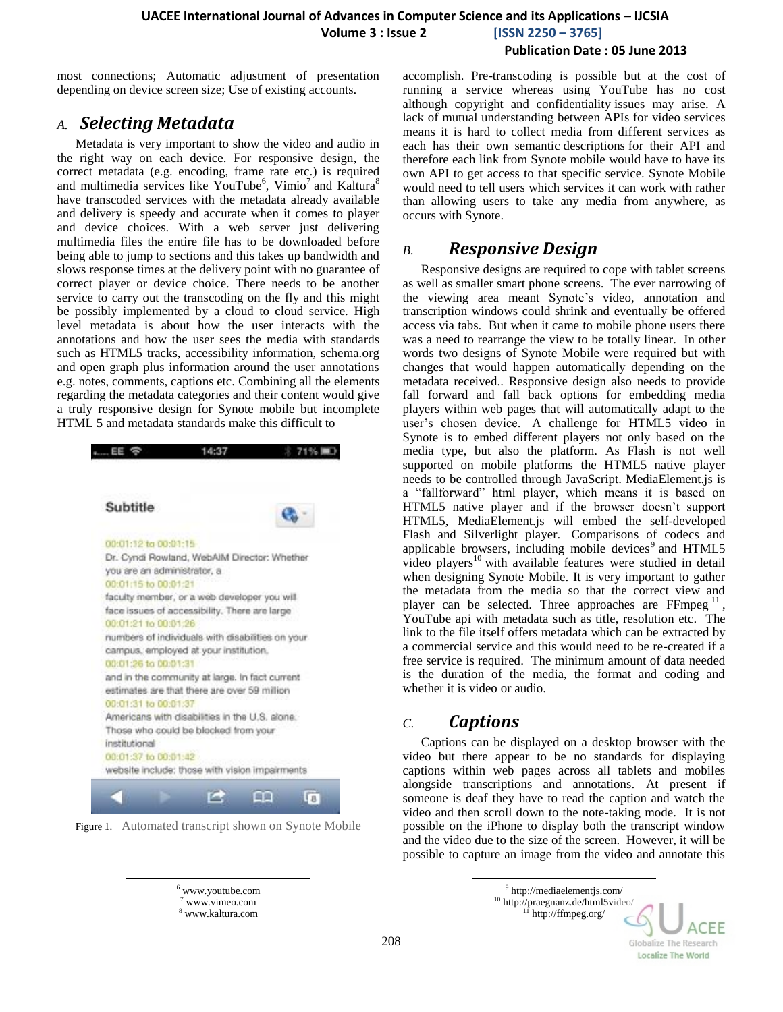most connections; Automatic adjustment of presentation depending on device screen size; Use of existing accounts.

### *A. Selecting Metadata*

Metadata is very important to show the video and audio in the right way on each device. For responsive design, the correct metadata (e.g. encoding, frame rate etc.) is required and multimedia services like YouTube<sup>6</sup>, Vimio<sup>7</sup> and Kaltura<sup>8</sup> have transcoded services with the metadata already available and delivery is speedy and accurate when it comes to player and device choices. With a web server just delivering multimedia files the entire file has to be downloaded before being able to jump to sections and this takes up bandwidth and slows response times at the delivery point with no guarantee of correct player or device choice. There needs to be another service to carry out the transcoding on the fly and this might be possibly implemented by a cloud to cloud service. High level metadata is about how the user interacts with the annotations and how the user sees the media with standards such as HTML5 tracks, accessibility information, schema.org and open graph plus information around the user annotations e.g. notes, comments, captions etc. Combining all the elements regarding the metadata categories and their content would give a truly responsive design for Synote mobile but incomplete HTML 5 and metadata standards make this difficult to



Figure 1. Automated transcript shown on Synote Mobile

accomplish. Pre-transcoding is possible but at the cost of running a service whereas using YouTube has no cost although copyright and confidentiality issues may arise. A lack of mutual understanding between APIs for video services means it is hard to collect media from different services as each has their own semantic descriptions for their API and therefore each link from Synote mobile would have to have its own API to get access to that specific service. Synote Mobile would need to tell users which services it can work with rather than allowing users to take any media from anywhere, as occurs with Synote.

### *B. Responsive Design*

Responsive designs are required to cope with tablet screens as well as smaller smart phone screens. The ever narrowing of the viewing area meant Synote's video, annotation and transcription windows could shrink and eventually be offered access via tabs. But when it came to mobile phone users there was a need to rearrange the view to be totally linear. In other words two designs of Synote Mobile were required but with changes that would happen automatically depending on the metadata received.. Responsive design also needs to provide fall forward and fall back options for embedding media players within web pages that will automatically adapt to the user's chosen device. A challenge for HTML5 video in Synote is to embed different players not only based on the media type, but also the platform. As Flash is not well supported on mobile platforms the HTML5 native player needs to be controlled through JavaScript. MediaElement.js is a "fallforward" html player, which means it is based on HTML5 native player and if the browser doesn"t support HTML5, MediaElement.js will embed the self-developed Flash and Silverlight player. Comparisons of codecs and applicable browsers, including mobile devices<sup>9</sup> and HTML5 video players <sup>10</sup> with available features were studied in detail when designing Synote Mobile. It is very important to gather the metadata from the media so that the correct view and player can be selected. Three approaches are FFmpeg<sup>1</sup> , YouTube api with metadata such as title, resolution etc. The link to the file itself offers metadata which can be extracted by a commercial service and this would need to be re-created if a free service is required. The minimum amount of data needed is the duration of the media, the format and coding and whether it is video or audio.

### *C. Captions*

l

Captions can be displayed on a desktop browser with the video but there appear to be no standards for displaying captions within web pages across all tablets and mobiles alongside transcriptions and annotations. At present if someone is deaf they have to read the caption and watch the video and then scroll down to the note-taking mode. It is not possible on the iPhone to display both the transcript window and the video due to the size of the screen. However, it will be possible to capture an image from the video and annotate this

l

<sup>9</sup> http://mediaelementjs.com/ <sup>10</sup> <http://praegnanz.de/html5video/>  $11$  http://ffmpeg.org/



<sup>6</sup> www.youtube.com <sup>7</sup> www.vimeo.com <sup>8</sup> www.kaltura.com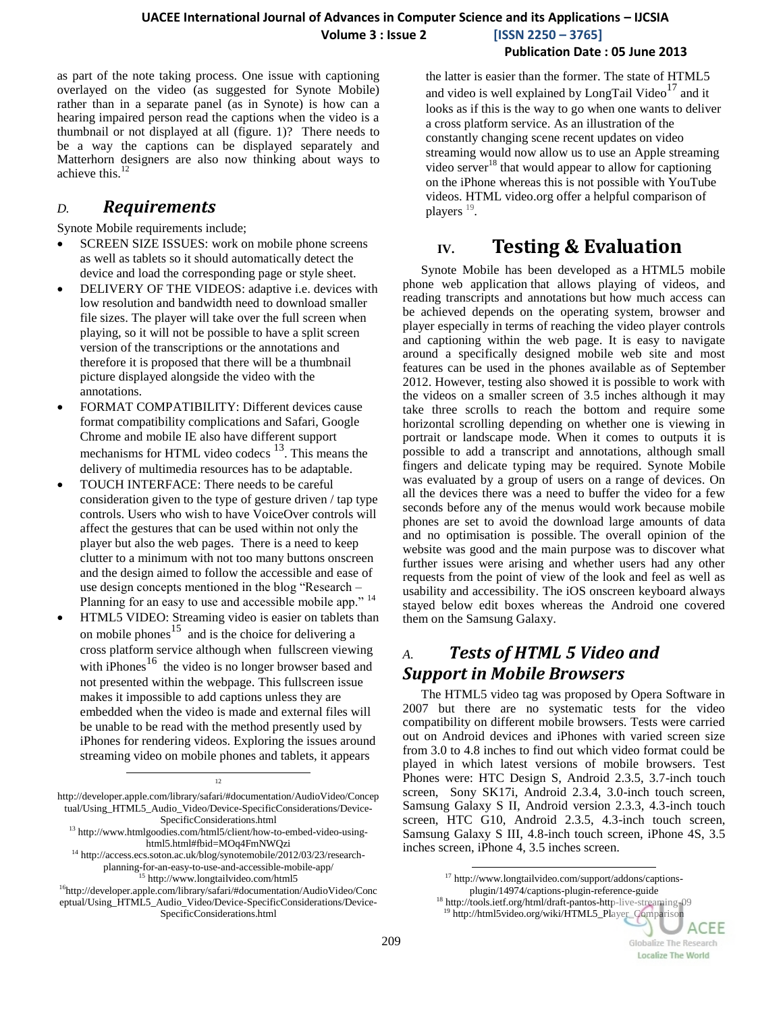as part of the note taking process. One issue with captioning overlayed on the video (as suggested for Synote Mobile) rather than in a separate panel (as in Synote) is how can a hearing impaired person read the captions when the video is a thumbnail or not displayed at all (figure. 1)? There needs to be a way the captions can be displayed separately and Matterhorn designers are also now thinking about ways to achieve this. 12

### *D. Requirements*

Synote Mobile requirements include;

- SCREEN SIZE ISSUES: work on mobile phone screens as well as tablets so it should automatically detect the device and load the corresponding page or style sheet.
- DELIVERY OF THE VIDEOS: adaptive i.e. devices with low resolution and bandwidth need to download smaller file sizes. The player will take over the full screen when playing, so it will not be possible to have a split screen version of the transcriptions or the annotations and therefore it is proposed that there will be a thumbnail picture displayed alongside the video with the annotations.
- FORMAT COMPATIBILITY: Different devices cause format compatibility complications and Safari, Google Chrome and mobile IE also have different support mechanisms for HTML video codecs <sup>13</sup>. This means the delivery of multimedia resources has to be adaptable.
- TOUCH INTERFACE: There needs to be careful consideration given to the type of gesture driven / tap type controls. Users who wish to have VoiceOver controls will affect the gestures that can be used within not only the player but also the web pages. There is a need to keep clutter to a minimum with not too many buttons onscreen and the design aimed to follow the accessible and ease of use design concepts mentioned in the blog "Research – Planning for an easy to use and accessible mobile app."<sup>14</sup>
- HTML5 VIDEO: Streaming video is easier on tablets than on mobile phones<sup>15</sup> and is the choice for delivering a cross platform service although when fullscreen viewing with iPhones<sup>16</sup> the video is no longer browser based and not presented within the webpage. This fullscreen issue makes it impossible to add captions unless they are embedded when the video is made and external files will be unable to be read with the method presently used by iPhones for rendering videos. Exploring the issues around streaming video on mobile phones and tablets, it appears

12

l

#### **Publication Date : 05 June 2013**

the latter is easier than the former. The state of HTML5 and video is well explained by LongTail Video<sup>17</sup> and it looks as if this is the way to go when one wants to deliver a cross platform service. As an illustration of the constantly changing scene recent updates on video streaming would now allow us to use an Apple streaming video server $18$  that would appear to allow for captioning on the iPhone whereas this is not possible with YouTube videos. HTML video.org offer a helpful comparison of players<sup>19</sup>.

# **IV. Testing & Evaluation**

Synote Mobile has been developed as a HTML5 mobile phone web application that allows playing of videos, and reading transcripts and annotations but how much access can be achieved depends on the operating system, browser and player especially in terms of reaching the video player controls and captioning within the web page. It is easy to navigate around a specifically designed mobile web site and most features can be used in the phones available as of September 2012. However, testing also showed it is possible to work with the videos on a smaller screen of 3.5 inches although it may take three scrolls to reach the bottom and require some horizontal scrolling depending on whether one is viewing in portrait or landscape mode. When it comes to outputs it is possible to add a transcript and annotations, although small fingers and delicate typing may be required. Synote Mobile was evaluated by a group of users on a range of devices. On all the devices there was a need to buffer the video for a few seconds before any of the menus would work because mobile phones are set to avoid the download large amounts of data and no optimisation is possible. The overall opinion of the website was good and the main purpose was to discover what further issues were arising and whether users had any other requests from the point of view of the look and feel as well as usability and accessibility. The iOS onscreen keyboard always stayed below edit boxes whereas the Android one covered them on the Samsung Galaxy.

# *A. Tests of HTML 5 Video and Support in Mobile Browsers*

The HTML5 video tag was proposed by Opera Software in 2007 but there are no systematic tests for the video compatibility on different mobile browsers. Tests were carried out on Android devices and iPhones with varied screen size from 3.0 to 4.8 inches to find out which video format could be played in which latest versions of mobile browsers. Test Phones were: HTC Design S, Android 2.3.5, 3.7-inch touch screen, Sony SK17i, Android 2.3.4, 3.0-inch touch screen, Samsung Galaxy S II, Android version 2.3.3, 4.3-inch touch screen, HTC G10, Android 2.3.5, 4.3-inch touch screen, Samsung Galaxy S III, 4.8-inch touch screen, iPhone 4S, 3.5 inches screen, iPhone 4, 3.5 inches screen.

l

<sup>18</sup> http://tools.ietf.org/html/draft-pantos-http-live-streaming-09 <sup>19</sup> http://html5video.org/wiki/HTML5\_Player\_Comparison

ACEE

Globalize The Research **Localize The World** 

http://developer.apple.com/library/safari/#documentation/AudioVideo/Concep tual/Using\_HTML5\_Audio\_Video/Device-SpecificConsiderations/Device-SpecificConsiderations.html

<sup>13</sup> http://www.htmlgoodies.com/html5/client/how-to-embed-video-usinghtml5.html#fbid=MOq4FmNWQzi

<sup>&</sup>lt;sup>14</sup> http://access.ecs.soton.ac.uk/blog/synotemobile/2012/03/23/researchplanning-for-an-easy-to-use-and-accessible-mobile-app/

<sup>15</sup> http://www.longtailvideo.com/html5 <sup>16</sup>http://developer.apple.com/library/safari/#documentation/AudioVideo/Conc

eptual/Using\_HTML5\_Audio\_Video/Device-SpecificConsiderations/Device-SpecificConsiderations.html

<sup>17</sup> http://www.longtailvideo.com/support/addons/captionsplugin/14974/captions-plugin-reference-guide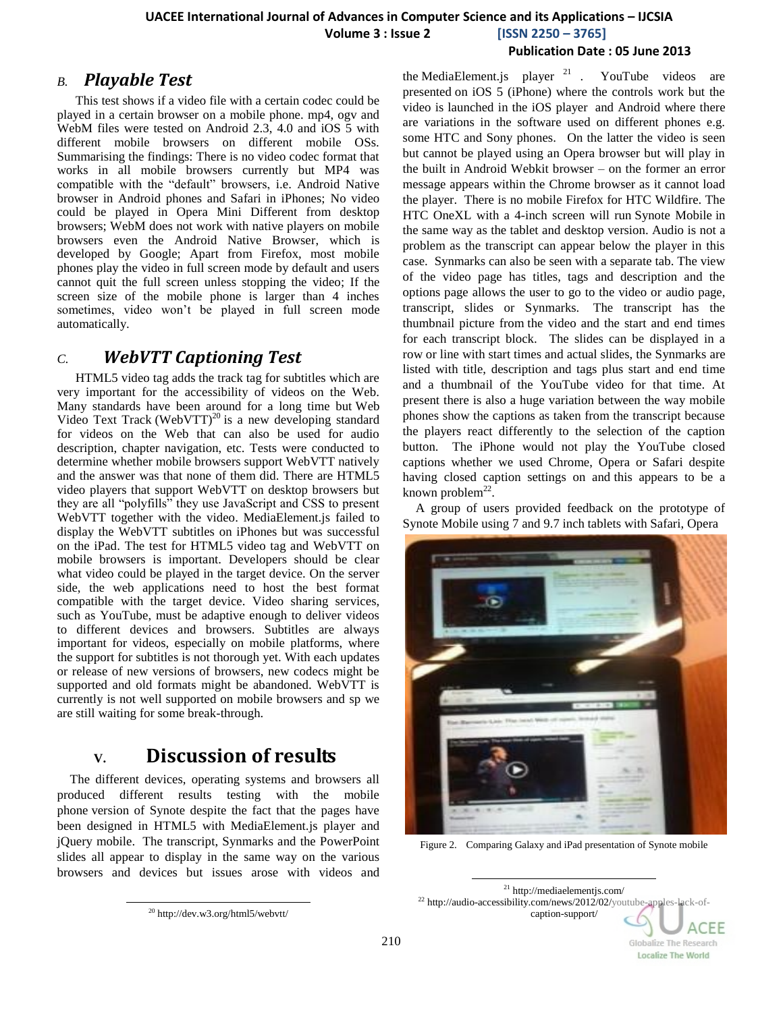#### **Publication Date : 05 June 2013**

### *B. Playable Test*

This test shows if a video file with a certain codec could be played in a certain browser on a mobile phone. mp4, ogv and WebM files were tested on Android 2.3, 4.0 and iOS 5 with different mobile browsers on different mobile OSs. Summarising the findings: There is no video codec format that works in all mobile browsers currently but MP4 was compatible with the "default" browsers, i.e. Android Native browser in Android phones and Safari in iPhones; No video could be played in Opera Mini Different from desktop browsers; WebM does not work with native players on mobile browsers even the Android Native Browser, which is developed by Google; Apart from Firefox, most mobile phones play the video in full screen mode by default and users cannot quit the full screen unless stopping the video; If the screen size of the mobile phone is larger than 4 inches sometimes, video won't be played in full screen mode automatically.

### *C. WebVTT Captioning Test*

HTML5 video tag adds the track tag for subtitles which are very important for the accessibility of videos on the Web. Many standards have been around for a long time but Web Video Text Track (WebVTT)<sup>20</sup> is a new developing standard for videos on the Web that can also be used for audio description, chapter navigation, etc. Tests were conducted to determine whether mobile browsers support WebVTT natively and the answer was that none of them did. There are HTML5 video players that support WebVTT on desktop browsers but they are all "polyfills" they use JavaScript and CSS to present WebVTT together with the video. MediaElement.js failed to display the WebVTT subtitles on iPhones but was successful on the iPad. The test for HTML5 video tag and WebVTT on mobile browsers is important. Developers should be clear what video could be played in the target device. On the server side, the web applications need to host the best format compatible with the target device. Video sharing services, such as YouTube, must be adaptive enough to deliver videos to different devices and browsers. Subtitles are always important for videos, especially on mobile platforms, where the support for subtitles is not thorough yet. With each updates or release of new versions of browsers, new codecs might be supported and old formats might be abandoned. WebVTT is currently is not well supported on mobile browsers and sp we are still waiting for some break-through.

# **V. Discussion of results**

The different devices, operating systems and browsers all produced different results testing with the mobile phone version of Synote despite the fact that the pages have been designed in HTML5 with MediaElement.js player and jQuery mobile. The transcript, Synmarks and the PowerPoint slides all appear to display in the same way on the various browsers and devices but issues arose with videos and

<sup>20</sup> http://dev.w3.org/html5/webvtt/

l

the MediaElement.js player  $21$ . YouTube videos are presented on iOS 5 (iPhone) where the controls work but the video is launched in the iOS player and Android where there are variations in the software used on different phones e.g. some HTC and Sony phones. On the latter the video is seen but cannot be played using an Opera browser but will play in the built in Android Webkit browser – on the former an error message appears within the Chrome browser as it cannot load the player. There is no mobile Firefox for HTC Wildfire. The HTC OneXL with a 4-inch screen will run Synote Mobile in the same way as the tablet and desktop version. Audio is not a problem as the transcript can appear below the player in this case. Synmarks can also be seen with a separate tab. The view of the video page has titles, tags and description and the options page allows the user to go to the video or audio page, transcript, slides or Synmarks. The transcript has the thumbnail picture from the video and the start and end times for each transcript block. The slides can be displayed in a row or line with start times and actual slides, the Synmarks are listed with title, description and tags plus start and end time and a thumbnail of the YouTube video for that time. At present there is also a huge variation between the way mobile phones show the captions as taken from the transcript because the players react differently to the selection of the caption button. The iPhone would not play the YouTube closed captions whether we used Chrome, Opera or Safari despite having closed caption settings on and this appears to be a known problem $^{22}$ .

A group of users provided feedback on the prototype of Synote Mobile using 7 and 9.7 inch tablets with Safari, Opera



Figure 2. Comparing Galaxy and iPad presentation of Synote mobile

l <sup>21</sup> http://mediaelementjs.com/ <sup>22</sup> http://audio-accessibility.com/news/2012/02/youtube-apples-lack-ofcaption-support/

CEE

Globalize The Research **Localize The World**